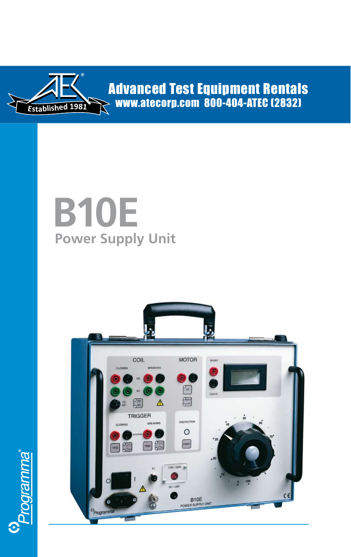

enmagiona<sup>e</sup>

**Advanced Test Equipment Rentals** www.atecorp.com 800-404-ATEC (2832)

# **B10E Power Supply Unit**

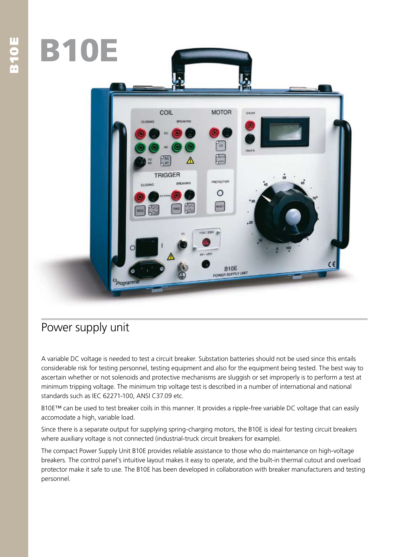

# Power supply unit

A variable DC voltage is needed to test a circuit breaker. Substation batteries should not be used since this entails considerable risk for testing personnel, testing equipment and also for the equipment being tested. The best way to ascertain whether or not solenoids and protective mechanisms are sluggish or set improperly is to perform a test at minimum tripping voltage. The minimum trip voltage test is described in a number of international and national standards such as IEC 62271-100, ANSI C37.09 etc.

B10E™ can be used to test breaker coils in this manner. It provides a ripple-free variable DC voltage that can easily accomodate a high, variable load.

Since there is a separate output for supplying spring-charging motors, the B10E is ideal for testing circuit breakers where auxiliary voltage is not connected (industrial-truck circuit breakers for example).

The compact Power Supply Unit B10E provides reliable assistance to those who do maintenance on high-voltage breakers. The control panel's intuitive layout makes it easy to operate, and the built-in thermal cutout and overload protector make it safe to use. The B10E has been developed in collaboration with breaker manufacturers and testing personnel.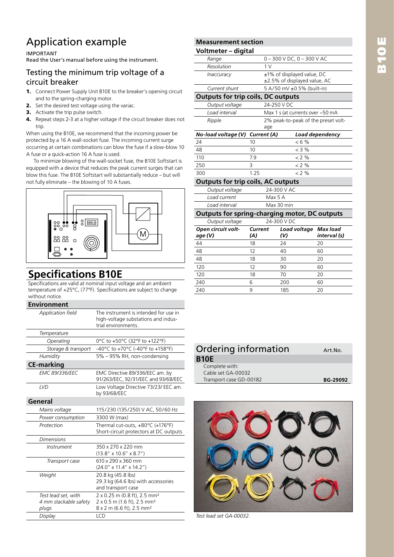# B10E

# Application example

#### IMPORTANT

Read the User's manual before using the instrument.

#### Testing the minimum trip voltage of a circuit breaker

- **1.** Connect Power Supply Unit B10E to the breaker's opening circuit and to the spring-charging motor.
- **2.** Set the desired test voltage using the variac.
- **3.** Activate the trip pulse switch.
- **4.** Repeat steps 2-3 at a higher voltage if the circuit breaker does not trip.

When using the B10E, we recommend that the incoming power be protected by a 16 A wall-socket fuse. The incoming current surge occurring at certain combinations can blow the fuse if a slow-blow 10 A fuse or a quick-action 16 A fuse is used.

To minimize blowing of the wall-socket fuse, the B10E Softstart is equipped with a device that reduces the peak current surges that can blow this fuse. The B10E Softstart will substantially reduce – but will not fully eliminate – the blowing of 10 A fuses.



### **Specifications B10E**

Specifications are valid at nominal input voltage and an ambient temperature of +25°C, (77°F). Specifications are subject to change without notice.

| <b>Environment</b>                                    |                                                                                                                              |
|-------------------------------------------------------|------------------------------------------------------------------------------------------------------------------------------|
| Application field                                     | The instrument is intended for use in<br>high-voltage substations and indus-<br>trial environments.                          |
| Temperature                                           |                                                                                                                              |
| Operating                                             | 0°C to +50°C (32°F to +122°F)                                                                                                |
| Storage & transport                                   | -40°C to +70°C (-40°F to +158°F)                                                                                             |
| Humidity                                              | 5% - 95% RH, non-condensing                                                                                                  |
| <b>CE-marking</b>                                     |                                                                                                                              |
| <b>EMC 89/336/EEC</b>                                 | EMC Directive 89/336/EEC am. by<br>91/263/EEC, 92/31/EEC and 93/68/EEC                                                       |
| LVD                                                   | Low Voltage Directive 73/23/ EEC am.<br>by 93/68/EEC                                                                         |
| General                                               |                                                                                                                              |
| Mains voltage                                         | 115/230 (135/250) V AC, 50/60 Hz                                                                                             |
| Power consumption                                     | 3300 W (max)                                                                                                                 |
| Protection                                            | Thermal cut-outs, +80°C (+176°F)<br>Short-circuit protectors at DC outputs                                                   |
| <b>Dimensions</b>                                     |                                                                                                                              |
| <i>Instrument</i>                                     | 350 x 270 x 220 mm<br>$(13.8'' \times 10.6'' \times 8.7'')$                                                                  |
| Transport case                                        | 610 x 290 x 360 mm<br>$(24.0'' \times 11.4'' \times 14.2'')$                                                                 |
| Weight                                                | 20.8 kg (45.8 lbs)<br>29.3 kg (64.6 lbs) with accessories<br>and transport case                                              |
| Test lead set, with<br>4 mm stackable safety<br>plugs | 2 x 0.25 m (0.8 ft), 2.5 mm <sup>2</sup><br>2 x 0.5 m (1.6 ft), 2.5 mm <sup>2</sup><br>8 x 2 m (6.6 ft), 2.5 mm <sup>2</sup> |
| Display                                               | LCD                                                                                                                          |

| <b>Measurement section</b> |  |
|----------------------------|--|
| Valtmatar digital          |  |

| Voltmeter - digital                                  |                |                                     |                                |                          |
|------------------------------------------------------|----------------|-------------------------------------|--------------------------------|--------------------------|
| Range                                                |                |                                     | $0 - 300$ V DC, $0 - 300$ V AC |                          |
| Resolution                                           |                | 1 <sub>V</sub>                      |                                |                          |
| <i>Inaccuracy</i>                                    |                |                                     | ±1% of displayed value, DC     |                          |
|                                                      |                |                                     | ±2.5% of displayed value, AC   |                          |
| Current shunt                                        |                | 5 A/50 mV ±0.5% (built-in)          |                                |                          |
| <b>Outputs for trip coils, DC outputs</b>            |                |                                     |                                |                          |
| Output voltage                                       |                | 24-250 V DC                         |                                |                          |
| Load interval                                        |                | Max 1 s (at currents over ~50 mA    |                                |                          |
| Ripple                                               |                | 2% peak-to-peak of the preset volt- |                                |                          |
|                                                      |                | age                                 |                                |                          |
| No-load voltage (V) Current (A)                      |                |                                     |                                | Load dependency          |
| 24                                                   | 10             |                                     | $< 6 \%$                       |                          |
| 48                                                   | 10             |                                     | $<$ 3 %                        |                          |
| 110                                                  | 7.9            |                                     | $< 2\%$                        |                          |
| 250                                                  | 3              |                                     | $< 2\%$                        |                          |
| 300                                                  | 1.25           |                                     | < 2 %                          |                          |
| <b>Outputs for trip coils, AC outputs</b>            |                |                                     |                                |                          |
| Output voltage                                       |                | 24-300 V AC                         |                                |                          |
| Load current                                         |                | Max 5 A                             |                                |                          |
| Load interval                                        |                | Max 30 min                          |                                |                          |
| <b>Outputs for spring-charging motor, DC outputs</b> |                |                                     |                                |                          |
| Output voltage                                       |                | 24-300 V DC                         |                                |                          |
| Open circuit volt-<br>age (V)                        | Current<br>(A) | (V)                                 | Load voltage                   | Max load<br>interval (s) |
| 44                                                   | 18             | 24                                  |                                | 20                       |

| aye (v)         | (A) | (V) | <i><u>IIIterval</u></i> |
|-----------------|-----|-----|-------------------------|
| 44              | 18  | 24  | 20                      |
| $\overline{48}$ | 12  | 40  | 60                      |
| $\overline{48}$ | 18  | 30  | 20                      |
| 120             | 12  | 90  | 60                      |
| 120             | 18  | 70  | 20                      |
| 240             | 6   | 200 | 60                      |
| 240             | 9   | 185 | 20                      |

#### Ordering information **Art.No.**  $B$ <sup> $\cdot$ </sup>

| IOE                     |                 |
|-------------------------|-----------------|
| Complete with:          |                 |
| Cable set GA-00032      |                 |
| Transport case GD-00182 | <b>BG-29092</b> |



*Test lead set GA-00032.*